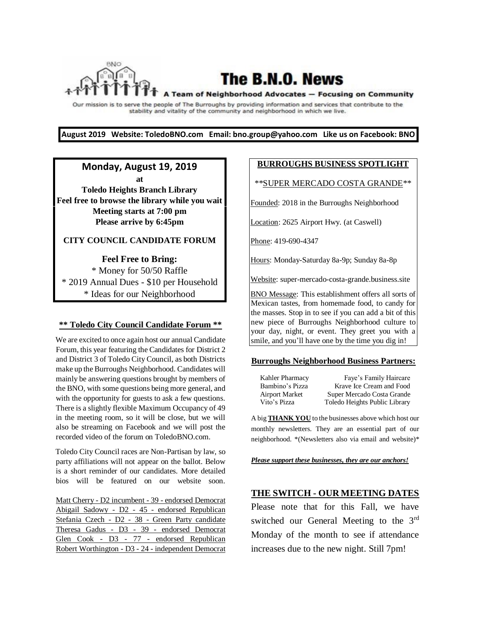The B.N.O. News

#### A Team of Neighborhood Advocates - Focusing on Community

Our mission is to serve the people of The Burroughs by providing information and services that contribute to the stability and vitality of the community and neighborhood in which we live.

**August 2019 Website: ToledoBNO.com Email: bno.group@yahoo.com Like us on Facebook: BNO** 

**Monday, August 19, 2019** 

**at Toledo Heights Branch Library Feel free to browse the library while you wait Meeting starts at 7:00 pm Please arrive by 6:45pm**

# **CITY COUNCIL CANDIDATE FORUM**

**Feel Free to Bring:**  \* Money for 50/50 Raffle \* 2019 Annual Dues - \$10 per Household \* Ideas for our Neighborhood

### **\*\* Toledo City Council Candidate Forum \*\***

We are excited to once again host our annual Candidate Forum, this year featuring the Candidates for District 2 and District 3 of Toledo City Council, as both Districts make up the Burroughs Neighborhood. Candidates will mainly be answering questions brought by members of the BNO, with some questions being more general, and with the opportunity for guests to ask a few questions. There is a slightly flexible Maximum Occupancy of 49 in the meeting room, so it will be close, but we will also be streaming on Facebook and we will post the recorded video of the forum on ToledoBNO.com.

Toledo City Council races are Non-Partisan by law, so party affiliations will not appear on the ballot. Below is a short reminder of our candidates. More detailed bios will be featured on our website soon.

Matt Cherry - D2 incumbent - 39 - endorsed Democrat Abigail Sadowy - D2 - 45 - endorsed Republican Stefania Czech - D2 - 38 - Green Party candidate Theresa Gadus - D3 - 39 - endorsed Democrat Glen Cook - D3 - 77 - endorsed Republican Robert Worthington - D3 - 24 - independent Democrat

## **BURROUGHS BUSINESS SPOTLIGHT**

\*\*SUPER MERCADO COSTA GRANDE\*\*

Founded: 2018 in the Burroughs Neighborhood

Location: 2625 Airport Hwy. (at Caswell)

Phone: 419-690-4347

Hours: Monday-Saturday 8a-9p; Sunday 8a-8p

Website: super-mercado-costa-grande.business.site

BNO Message: This establishment offers all sorts of Mexican tastes, from homemade food, to candy for the masses. Stop in to see if you can add a bit of this new piece of Burroughs Neighborhood culture to your day, night, or event. They greet you with a smile, and you'll have one by the time you dig in!

#### **Burroughs Neighborhood Business Partners:**

| Faye's Family Haircare        |
|-------------------------------|
| Krave Ice Cream and Food      |
| Super Mercado Costa Grande    |
| Toledo Heights Public Library |
|                               |

A big **THANK YOU** to the businesses above which host our monthly newsletters. They are an essential part of our neighborhood. \*(Newsletters also via email and website)\*

*Please support these businesses, they are our anchors!*

## **THE SWITCH - OUR MEETING DATES**

Please note that for this Fall, we have switched our General Meeting to the 3<sup>rd</sup> Monday of the month to see if attendance increases due to the new night. Still 7pm!